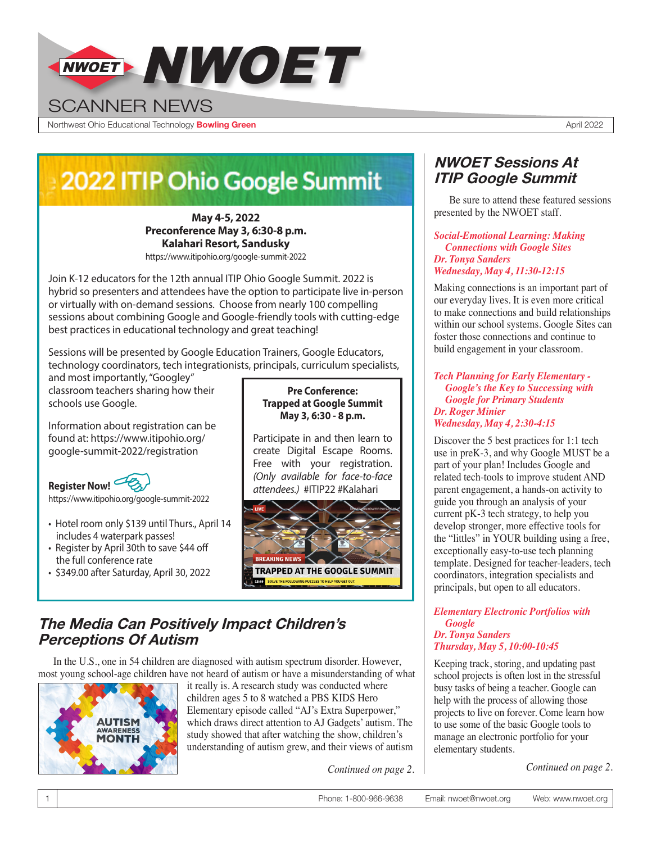

Northwest Ohio Educational Technology **Bowling Green** April 2022

## 2022 ITIP Ohio Google Summit

**May 4-5, 2022 Preconference May 3, 6:30-8 p.m. Kalahari Resort, Sandusky** https://www.itipohio.org/google-summit-2022

Join K-12 educators for the 12th annual ITIP Ohio Google Summit. 2022 is hybrid so presenters and attendees have the option to participate live in-person or virtually with on-demand sessions. Choose from nearly 100 compelling sessions about combining Google and Google-friendly tools with cutting-edge

best practices in educational technology and great teaching!

Sessions will be presented by Google Education Trainers, Google Educators, technology coordinators, tech integrationists, principals, curriculum specialists,

and most importantly, "Googley" classroom teachers sharing how their schools use Google.

Information about registration can be found at: [https://www.itipohio.org/](https://www.itipohio.org/google-summit-2022/registration) [google-summit-2022/registration](https://www.itipohio.org/google-summit-2022/registration)



- Hotel room only \$139 until Thurs., April 14 includes 4 waterpark passes!
- Register by April 30th to save \$44 off the full conference rate
- \$349.00 after Saturday, April 30, 2022

#### **Pre Conference: Trapped at Google Summit May 3, 6:30 - 8 p.m.**

Participate in and then learn to create Digital Escape Rooms. Free with your registration. *(Only available for face-to-face attendees.)* #ITIP22 #Kalahari



## **The Media Can Positively Impact Children's Perceptions Of Autism**

In the U.S., one in 54 children are diagnosed with autism spectrum disorder. However, most young school-age children have not heard of autism or have a misunderstanding of what



it really is. A research study was conducted where children ages 5 to 8 watched a PBS KIDS Hero Elementary episode called "AJ's Extra Superpower," which draws direct attention to AJ Gadgets' autism. The study showed that after watching the show, children's understanding of autism grew, and their views of autism

## **NWOET Sessions At ITIP Google Summit**

Be sure to attend these featured sessions presented by the NWOET staff.

#### *Social-Emotional Learning: Making Connections with Google Sites Dr. Tonya Sanders Wednesday, May 4, 11:30-12:15*

Making connections is an important part of our everyday lives. It is even more critical to make connections and build relationships within our school systems. Google Sites can foster those connections and continue to build engagement in your classroom.

#### *Tech Planning for Early Elementary - Google's the Key to Successing with Google for Primary Students Dr. Roger Minier Wednesday, May 4, 2:30-4:15*

Discover the 5 best practices for 1:1 tech use in preK-3, and why Google MUST be a part of your plan! Includes Google and related tech-tools to improve student AND parent engagement, a hands-on activity to guide you through an analysis of your current pK-3 tech strategy, to help you develop stronger, more effective tools for the "littles" in YOUR building using a free, exceptionally easy-to-use tech planning template. Designed for teacher-leaders, tech coordinators, integration specialists and principals, but open to all educators.

#### *Elementary Electronic Portfolios with Google Dr. Tonya Sanders Thursday, May 5, 10:00-10:45*

Keeping track, storing, and updating past school projects is often lost in the stressful busy tasks of being a teacher. Google can help with the process of allowing those projects to live on forever. Come learn how to use some of the basic Google tools to manage an electronic portfolio for your elementary students.

*Continued on page 2. Continued on page 2.*